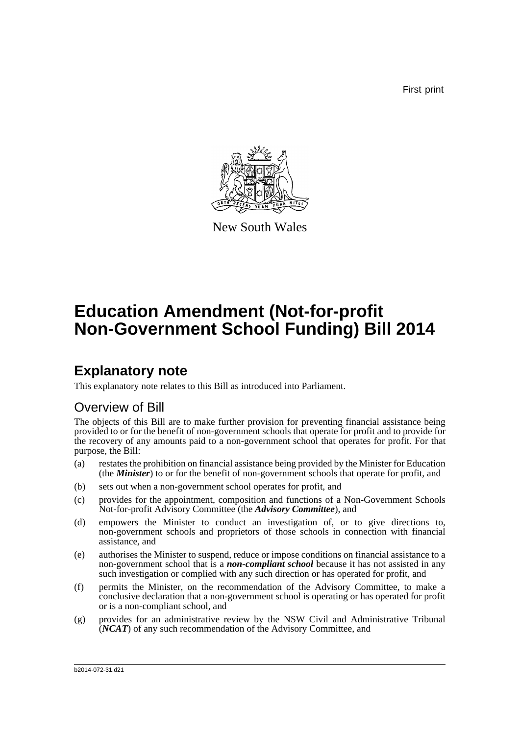First print



New South Wales

# **Education Amendment (Not-for-profit Non-Government School Funding) Bill 2014**

## **Explanatory note**

This explanatory note relates to this Bill as introduced into Parliament.

## Overview of Bill

The objects of this Bill are to make further provision for preventing financial assistance being provided to or for the benefit of non-government schools that operate for profit and to provide for the recovery of any amounts paid to a non-government school that operates for profit. For that purpose, the Bill:

- (a) restates the prohibition on financial assistance being provided by the Minister for Education (the *Minister*) to or for the benefit of non-government schools that operate for profit, and
- (b) sets out when a non-government school operates for profit, and
- (c) provides for the appointment, composition and functions of a Non-Government Schools Not-for-profit Advisory Committee (the *Advisory Committee*), and
- (d) empowers the Minister to conduct an investigation of, or to give directions to, non-government schools and proprietors of those schools in connection with financial assistance, and
- (e) authorises the Minister to suspend, reduce or impose conditions on financial assistance to a non-government school that is a *non-compliant school* because it has not assisted in any such investigation or complied with any such direction or has operated for profit, and
- (f) permits the Minister, on the recommendation of the Advisory Committee, to make a conclusive declaration that a non-government school is operating or has operated for profit or is a non-compliant school, and
- (g) provides for an administrative review by the NSW Civil and Administrative Tribunal (*NCAT*) of any such recommendation of the Advisory Committee, and

b2014-072-31.d21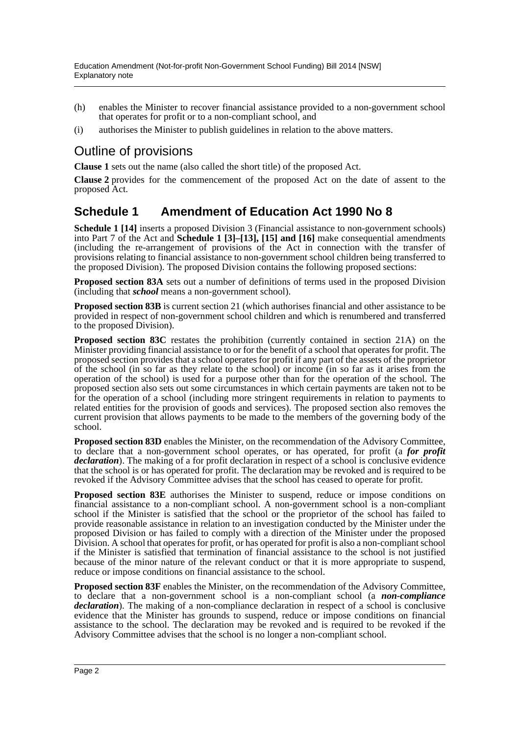- (h) enables the Minister to recover financial assistance provided to a non-government school that operates for profit or to a non-compliant school, and
- (i) authorises the Minister to publish guidelines in relation to the above matters.

## Outline of provisions

**Clause 1** sets out the name (also called the short title) of the proposed Act.

**Clause 2** provides for the commencement of the proposed Act on the date of assent to the proposed Act.

### **Schedule 1 Amendment of Education Act 1990 No 8**

**Schedule 1 [14]** inserts a proposed Division 3 (Financial assistance to non-government schools) into Part 7 of the Act and **Schedule 1 [3]–[13], [15] and [16]** make consequential amendments (including the re-arrangement of provisions of the Act in connection with the transfer of provisions relating to financial assistance to non-government school children being transferred to the proposed Division). The proposed Division contains the following proposed sections:

**Proposed section 83A** sets out a number of definitions of terms used in the proposed Division (including that *school* means a non-government school).

**Proposed section 83B** is current section 21 (which authorises financial and other assistance to be provided in respect of non-government school children and which is renumbered and transferred to the proposed Division).

**Proposed section 83C** restates the prohibition (currently contained in section 21A) on the Minister providing financial assistance to or for the benefit of a school that operates for profit. The proposed section provides that a school operates for profit if any part of the assets of the proprietor of the school (in so far as they relate to the school) or income (in so far as it arises from the operation of the school) is used for a purpose other than for the operation of the school. The proposed section also sets out some circumstances in which certain payments are taken not to be for the operation of a school (including more stringent requirements in relation to payments to related entities for the provision of goods and services). The proposed section also removes the current provision that allows payments to be made to the members of the governing body of the school.

**Proposed section 83D** enables the Minister, on the recommendation of the Advisory Committee, to declare that a non-government school operates, or has operated, for profit (a *for profit declaration*). The making of a for profit declaration in respect of a school is conclusive evidence that the school is or has operated for profit. The declaration may be revoked and is required to be revoked if the Advisory Committee advises that the school has ceased to operate for profit.

**Proposed section 83E** authorises the Minister to suspend, reduce or impose conditions on financial assistance to a non-compliant school. A non-government school is a non-compliant school if the Minister is satisfied that the school or the proprietor of the school has failed to provide reasonable assistance in relation to an investigation conducted by the Minister under the proposed Division or has failed to comply with a direction of the Minister under the proposed Division. A school that operates for profit, or has operated for profit is also a non-compliant school if the Minister is satisfied that termination of financial assistance to the school is not justified because of the minor nature of the relevant conduct or that it is more appropriate to suspend, reduce or impose conditions on financial assistance to the school.

**Proposed section 83F** enables the Minister, on the recommendation of the Advisory Committee, to declare that a non-government school is a non-compliant school (a *non-compliance declaration*). The making of a non-compliance declaration in respect of a school is conclusive evidence that the Minister has grounds to suspend, reduce or impose conditions on financial assistance to the school. The declaration may be revoked and is required to be revoked if the Advisory Committee advises that the school is no longer a non-compliant school.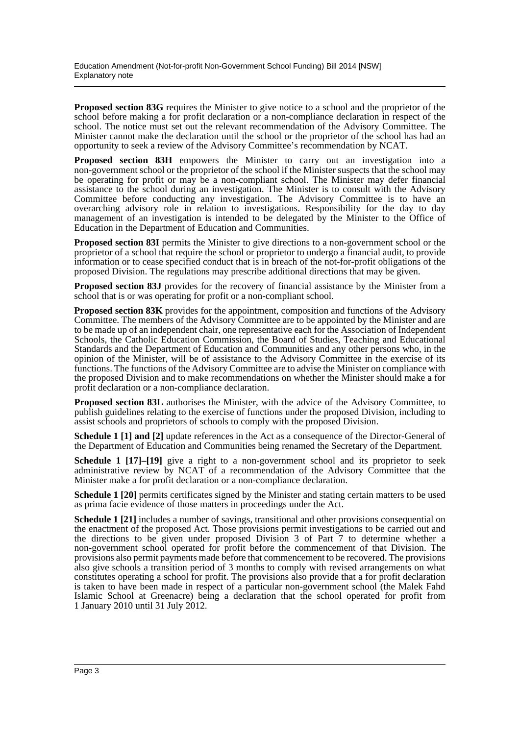**Proposed section 83G** requires the Minister to give notice to a school and the proprietor of the school before making a for profit declaration or a non-compliance declaration in respect of the school. The notice must set out the relevant recommendation of the Advisory Committee. The Minister cannot make the declaration until the school or the proprietor of the school has had an opportunity to seek a review of the Advisory Committee's recommendation by NCAT.

**Proposed section 83H** empowers the Minister to carry out an investigation into a non-government school or the proprietor of the school if the Minister suspects that the school may be operating for profit or may be a non-compliant school. The Minister may defer financial assistance to the school during an investigation. The Minister is to consult with the Advisory Committee before conducting any investigation. The Advisory Committee is to have an overarching advisory role in relation to investigations. Responsibility for the day to day management of an investigation is intended to be delegated by the Minister to the Office of Education in the Department of Education and Communities.

**Proposed section 83I** permits the Minister to give directions to a non-government school or the proprietor of a school that require the school or proprietor to undergo a financial audit, to provide information or to cease specified conduct that is in breach of the not-for-profit obligations of the proposed Division. The regulations may prescribe additional directions that may be given.

**Proposed section 83J** provides for the recovery of financial assistance by the Minister from a school that is or was operating for profit or a non-compliant school.

**Proposed section 83K** provides for the appointment, composition and functions of the Advisory Committee. The members of the Advisory Committee are to be appointed by the Minister and are to be made up of an independent chair, one representative each for the Association of Independent Schools, the Catholic Education Commission, the Board of Studies, Teaching and Educational Standards and the Department of Education and Communities and any other persons who, in the opinion of the Minister, will be of assistance to the Advisory Committee in the exercise of its functions. The functions of the Advisory Committee are to advise the Minister on compliance with the proposed Division and to make recommendations on whether the Minister should make a for profit declaration or a non-compliance declaration.

**Proposed section 83L** authorises the Minister, with the advice of the Advisory Committee, to publish guidelines relating to the exercise of functions under the proposed Division, including to assist schools and proprietors of schools to comply with the proposed Division.

**Schedule 1 [1] and [2]** update references in the Act as a consequence of the Director-General of the Department of Education and Communities being renamed the Secretary of the Department.

**Schedule 1 [17]–[19]** give a right to a non-government school and its proprietor to seek administrative review by NCAT of a recommendation of the Advisory Committee that the Minister make a for profit declaration or a non-compliance declaration.

**Schedule 1 [20]** permits certificates signed by the Minister and stating certain matters to be used as prima facie evidence of those matters in proceedings under the Act.

**Schedule 1 [21]** includes a number of savings, transitional and other provisions consequential on the enactment of the proposed Act. Those provisions permit investigations to be carried out and the directions to be given under proposed Division 3 of Part 7 to determine whether a non-government school operated for profit before the commencement of that Division. The provisions also permit payments made before that commencement to be recovered. The provisions also give schools a transition period of 3 months to comply with revised arrangements on what constitutes operating a school for profit. The provisions also provide that a for profit declaration is taken to have been made in respect of a particular non-government school (the Malek Fahd Islamic School at Greenacre) being a declaration that the school operated for profit from 1 January 2010 until 31 July 2012.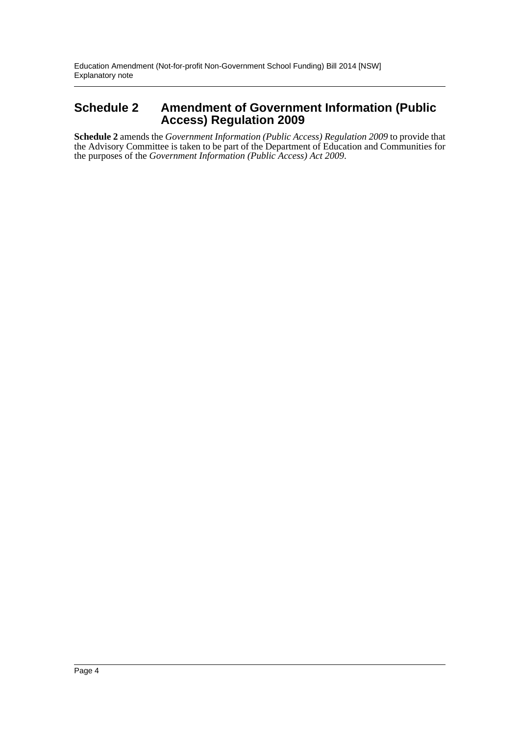### **Schedule 2 Amendment of Government Information (Public Access) Regulation 2009**

**Schedule 2** amends the *Government Information (Public Access) Regulation 2009* to provide that the Advisory Committee is taken to be part of the Department of Education and Communities for the purposes of the *Government Information (Public Access) Act 2009*.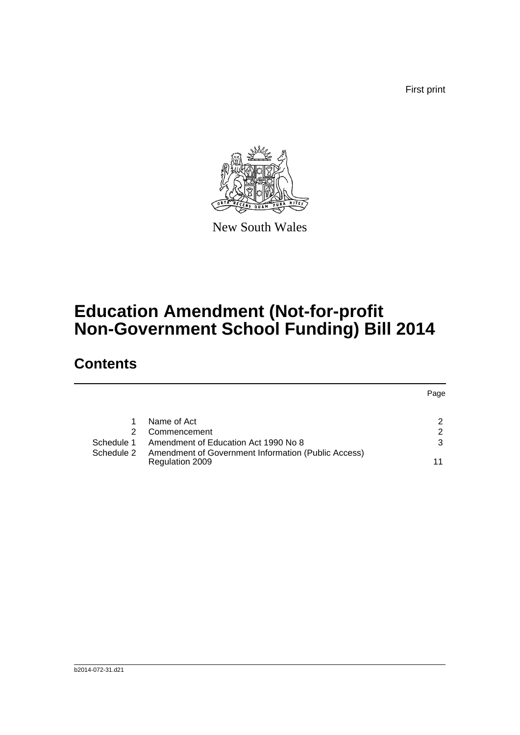First print



New South Wales

# **Education Amendment (Not-for-profit Non-Government School Funding) Bill 2014**

## **Contents**

|            |                                                                        | Page |
|------------|------------------------------------------------------------------------|------|
|            | Name of Act                                                            | 2    |
| 2          | Commencement                                                           | 2    |
| Schedule 1 | Amendment of Education Act 1990 No 8                                   | 3    |
| Schedule 2 | Amendment of Government Information (Public Access)<br>Regulation 2009 |      |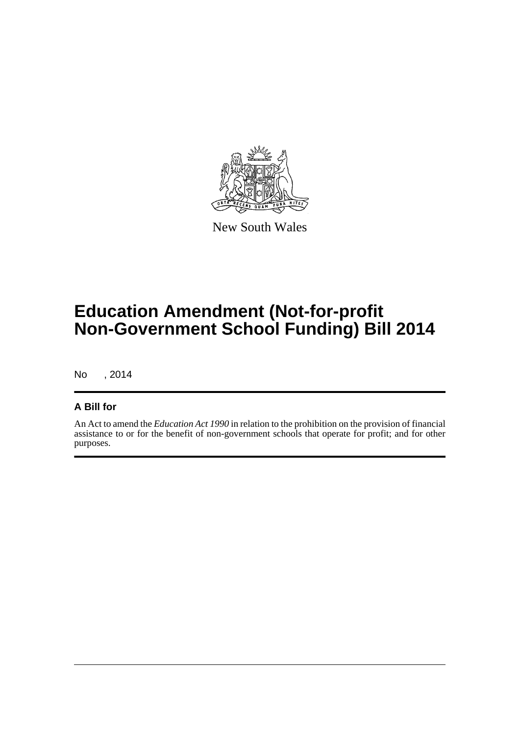

New South Wales

# **Education Amendment (Not-for-profit Non-Government School Funding) Bill 2014**

No , 2014

### **A Bill for**

An Act to amend the *Education Act 1990* in relation to the prohibition on the provision of financial assistance to or for the benefit of non-government schools that operate for profit; and for other purposes.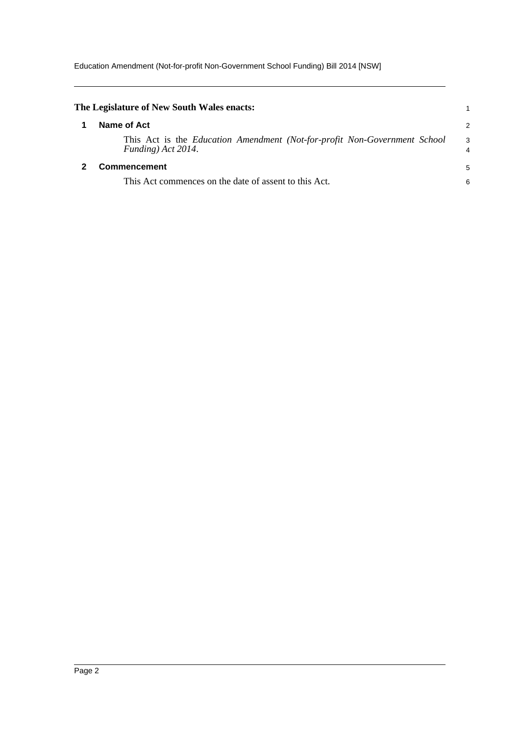Education Amendment (Not-for-profit Non-Government School Funding) Bill 2014 [NSW]

<span id="page-6-1"></span><span id="page-6-0"></span>

| The Legislature of New South Wales enacts:                                                      |                     |
|-------------------------------------------------------------------------------------------------|---------------------|
| Name of Act                                                                                     | 2                   |
| This Act is the Education Amendment (Not-for-profit Non-Government School<br>Funding) Act 2014. | 3<br>$\overline{4}$ |
| <b>Commencement</b>                                                                             | 5                   |
| This Act commences on the date of assent to this Act.                                           | 6                   |
|                                                                                                 |                     |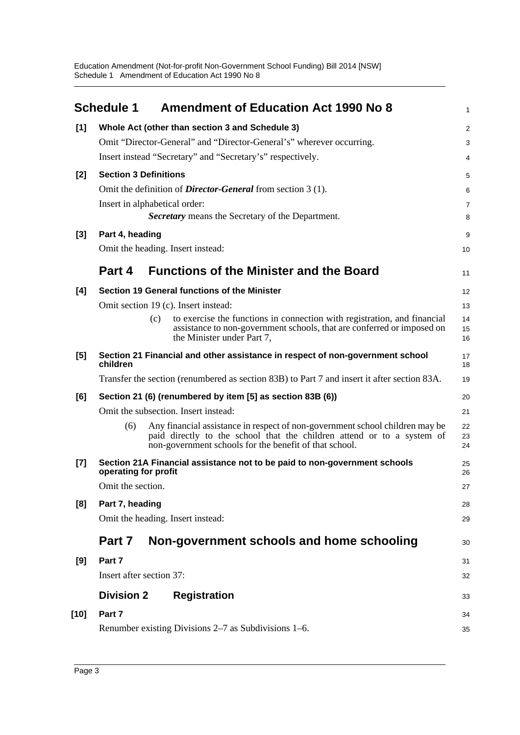<span id="page-7-0"></span>

|        | <b>Schedule 1</b><br><b>Amendment of Education Act 1990 No 8</b>                                                                                                                                                        | 1              |
|--------|-------------------------------------------------------------------------------------------------------------------------------------------------------------------------------------------------------------------------|----------------|
| [1]    | Whole Act (other than section 3 and Schedule 3)                                                                                                                                                                         | $\overline{c}$ |
|        | Omit "Director-General" and "Director-General's" wherever occurring.                                                                                                                                                    | 3              |
|        | Insert instead "Secretary" and "Secretary's" respectively.                                                                                                                                                              | 4              |
| $[2]$  | <b>Section 3 Definitions</b>                                                                                                                                                                                            | 5              |
|        | Omit the definition of <i>Director-General</i> from section 3 (1).                                                                                                                                                      | 6              |
|        | Insert in alphabetical order:                                                                                                                                                                                           | 7              |
|        | Secretary means the Secretary of the Department.                                                                                                                                                                        | 8              |
| $[3]$  | Part 4, heading                                                                                                                                                                                                         | 9              |
|        | Omit the heading. Insert instead:                                                                                                                                                                                       | 10             |
|        | <b>Functions of the Minister and the Board</b><br>Part 4                                                                                                                                                                | 11             |
| [4]    | Section 19 General functions of the Minister                                                                                                                                                                            | 12             |
|        | Omit section 19 (c). Insert instead:                                                                                                                                                                                    | 13             |
|        | to exercise the functions in connection with registration, and financial<br>(c)<br>assistance to non-government schools, that are conferred or imposed on<br>the Minister under Part 7,                                 | 14<br>15<br>16 |
| [5]    | Section 21 Financial and other assistance in respect of non-government school<br>children                                                                                                                               | 17<br>18       |
|        | Transfer the section (renumbered as section 83B) to Part 7 and insert it after section 83A.                                                                                                                             | 19             |
| [6]    | Section 21 (6) (renumbered by item [5] as section 83B (6))                                                                                                                                                              | 20             |
|        | Omit the subsection. Insert instead:                                                                                                                                                                                    | 21             |
|        | (6)<br>Any financial assistance in respect of non-government school children may be<br>paid directly to the school that the children attend or to a system of<br>non-government schools for the benefit of that school. | 22<br>23<br>24 |
| $[7]$  | Section 21A Financial assistance not to be paid to non-government schools<br>operating for profit                                                                                                                       | 25<br>26       |
|        | Omit the section.                                                                                                                                                                                                       | 27             |
| [8]    | Part 7, heading                                                                                                                                                                                                         | 28             |
|        | Omit the heading. Insert instead:                                                                                                                                                                                       | 29             |
|        | Non-government schools and home schooling<br>Part 7                                                                                                                                                                     | 30             |
| [9]    | Part 7                                                                                                                                                                                                                  | 31             |
|        | Insert after section 37:                                                                                                                                                                                                | 32             |
|        | <b>Division 2</b><br><b>Registration</b>                                                                                                                                                                                | 33             |
| $[10]$ | Part 7                                                                                                                                                                                                                  | 34             |
|        | Renumber existing Divisions 2–7 as Subdivisions 1–6.                                                                                                                                                                    | 35             |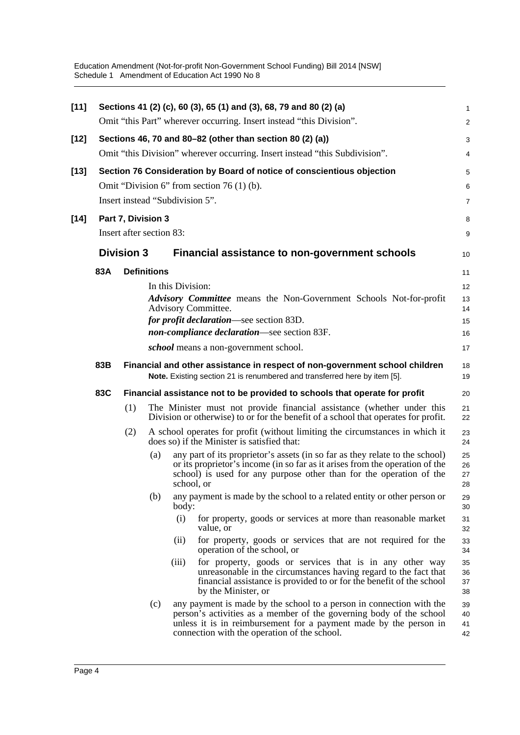Education Amendment (Not-for-profit Non-Government School Funding) Bill 2014 [NSW] Schedule 1 Amendment of Education Act 1990 No 8

| $[11]$ |     |                          |     | Sections 41 (2) (c), 60 (3), 65 (1) and (3), 68, 79 and 80 (2) (a)                                                                                                                                                                                               | 1                    |
|--------|-----|--------------------------|-----|------------------------------------------------------------------------------------------------------------------------------------------------------------------------------------------------------------------------------------------------------------------|----------------------|
|        |     |                          |     | Omit "this Part" wherever occurring. Insert instead "this Division".                                                                                                                                                                                             | $\overline{a}$       |
| $[12]$ |     |                          |     | Sections 46, 70 and 80–82 (other than section 80 (2) (a))                                                                                                                                                                                                        | 3                    |
|        |     |                          |     | Omit "this Division" wherever occurring. Insert instead "this Subdivision".                                                                                                                                                                                      | 4                    |
| $[13]$ |     |                          |     | Section 76 Consideration by Board of notice of conscientious objection                                                                                                                                                                                           | 5                    |
|        |     |                          |     | Omit "Division 6" from section 76 $(1)$ (b).                                                                                                                                                                                                                     | 6                    |
|        |     |                          |     | Insert instead "Subdivision 5".                                                                                                                                                                                                                                  | 7                    |
| $[14]$ |     | Part 7, Division 3       |     |                                                                                                                                                                                                                                                                  | 8                    |
|        |     | Insert after section 83: |     |                                                                                                                                                                                                                                                                  | 9                    |
|        |     | <b>Division 3</b>        |     | Financial assistance to non-government schools                                                                                                                                                                                                                   | 10                   |
|        | 83A | <b>Definitions</b>       |     |                                                                                                                                                                                                                                                                  | 11                   |
|        |     |                          |     | In this Division:                                                                                                                                                                                                                                                | 12                   |
|        |     |                          |     | Advisory Committee means the Non-Government Schools Not-for-profit<br>Advisory Committee.                                                                                                                                                                        | 13<br>14             |
|        |     |                          |     | for profit declaration—see section 83D.                                                                                                                                                                                                                          | 15                   |
|        |     |                          |     | non-compliance declaration—see section 83F.                                                                                                                                                                                                                      | 16                   |
|        |     |                          |     | <i>school</i> means a non-government school.                                                                                                                                                                                                                     | 17                   |
|        | 83B |                          |     | Financial and other assistance in respect of non-government school children<br>Note. Existing section 21 is renumbered and transferred here by item [5].                                                                                                         | 18<br>19             |
|        | 83C |                          |     | Financial assistance not to be provided to schools that operate for profit                                                                                                                                                                                       | 20                   |
|        |     | (1)                      |     | The Minister must not provide financial assistance (whether under this<br>Division or otherwise) to or for the benefit of a school that operates for profit.                                                                                                     | 21<br>22             |
|        |     | (2)                      |     | A school operates for profit (without limiting the circumstances in which it<br>does so) if the Minister is satisfied that:                                                                                                                                      | 23<br>24             |
|        |     |                          | (a) | any part of its proprietor's assets (in so far as they relate to the school)<br>or its proprietor's income (in so far as it arises from the operation of the<br>school) is used for any purpose other than for the operation of the<br>school, or                | 25<br>26<br>27<br>28 |
|        |     |                          | (b) | any payment is made by the school to a related entity or other person or<br>body:                                                                                                                                                                                | 29<br>30             |
|        |     |                          |     | (i)<br>for property, goods or services at more than reasonable market<br>value, or                                                                                                                                                                               | 31<br>32             |
|        |     |                          |     | for property, goods or services that are not required for the<br>(i)<br>operation of the school, or                                                                                                                                                              | 33<br>34             |
|        |     |                          |     | for property, goods or services that is in any other way<br>(iii)<br>unreasonable in the circumstances having regard to the fact that<br>financial assistance is provided to or for the benefit of the school<br>by the Minister, or                             | 35<br>36<br>37<br>38 |
|        |     |                          | (c) | any payment is made by the school to a person in connection with the<br>person's activities as a member of the governing body of the school<br>unless it is in reimbursement for a payment made by the person in<br>connection with the operation of the school. | 39<br>40<br>41<br>42 |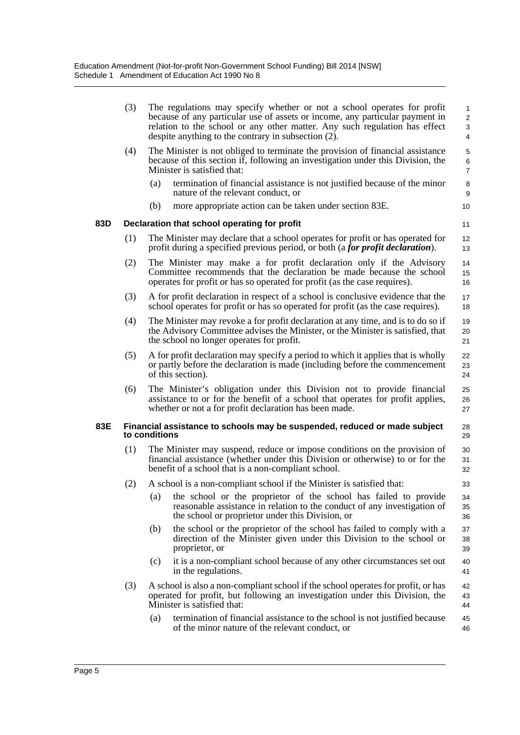|     | (3) |                                                                       | The regulations may specify whether or not a school operates for profit<br>because of any particular use of assets or income, any particular payment in<br>relation to the school or any other matter. Any such regulation has effect<br>despite anything to the contrary in subsection (2). | $\mathbf{1}$<br>2<br>$\mathbf{3}$<br>4 |  |
|-----|-----|-----------------------------------------------------------------------|----------------------------------------------------------------------------------------------------------------------------------------------------------------------------------------------------------------------------------------------------------------------------------------------|----------------------------------------|--|
|     | (4) |                                                                       | The Minister is not obliged to terminate the provision of financial assistance<br>because of this section if, following an investigation under this Division, the<br>Minister is satisfied that:                                                                                             | 5<br>6<br>$\overline{7}$               |  |
|     |     | (a)                                                                   | termination of financial assistance is not justified because of the minor<br>nature of the relevant conduct, or                                                                                                                                                                              | 8<br>9                                 |  |
|     |     | (b)                                                                   | more appropriate action can be taken under section 83E.                                                                                                                                                                                                                                      | 10                                     |  |
| 83D |     |                                                                       | Declaration that school operating for profit                                                                                                                                                                                                                                                 | 11                                     |  |
|     | (1) |                                                                       | The Minister may declare that a school operates for profit or has operated for<br>profit during a specified previous period, or both (a for profit declaration).                                                                                                                             | 12<br>13                               |  |
|     | (2) |                                                                       | The Minister may make a for profit declaration only if the Advisory<br>Committee recommends that the declaration be made because the school<br>operates for profit or has so operated for profit (as the case requires).                                                                     | 14<br>15<br>16                         |  |
|     | (3) |                                                                       | A for profit declaration in respect of a school is conclusive evidence that the<br>school operates for profit or has so operated for profit (as the case requires).                                                                                                                          | 17<br>18                               |  |
|     | (4) |                                                                       | The Minister may revoke a for profit declaration at any time, and is to do so if<br>the Advisory Committee advises the Minister, or the Minister is satisfied, that<br>the school no longer operates for profit.                                                                             | 19<br>20<br>21                         |  |
|     | (5) |                                                                       | A for profit declaration may specify a period to which it applies that is wholly<br>or partly before the declaration is made (including before the commencement<br>of this section).                                                                                                         | 22<br>23<br>24                         |  |
|     | (6) |                                                                       | The Minister's obligation under this Division not to provide financial<br>assistance to or for the benefit of a school that operates for profit applies,<br>whether or not a for profit declaration has been made.                                                                           | 25<br>26<br>27                         |  |
| 83E |     | to conditions                                                         | Financial assistance to schools may be suspended, reduced or made subject                                                                                                                                                                                                                    | 28<br>29                               |  |
|     | (1) |                                                                       | The Minister may suspend, reduce or impose conditions on the provision of<br>financial assistance (whether under this Division or otherwise) to or for the<br>benefit of a school that is a non-compliant school.                                                                            | 30<br>31<br>32                         |  |
|     | (2) | A school is a non-compliant school if the Minister is satisfied that: |                                                                                                                                                                                                                                                                                              |                                        |  |
|     |     | (a)                                                                   | the school or the proprietor of the school has failed to provide<br>reasonable assistance in relation to the conduct of any investigation of<br>the school or proprietor under this Division, or                                                                                             | 34<br>35<br>36                         |  |
|     |     | (b)                                                                   | the school or the proprietor of the school has failed to comply with a<br>direction of the Minister given under this Division to the school or<br>proprietor, or                                                                                                                             | 37<br>38<br>39                         |  |
|     |     | (c)                                                                   | it is a non-compliant school because of any other circumstances set out<br>in the regulations.                                                                                                                                                                                               | 40<br>41                               |  |
|     | (3) |                                                                       | A school is also a non-compliant school if the school operates for profit, or has<br>operated for profit, but following an investigation under this Division, the<br>Minister is satisfied that:                                                                                             | 42<br>43<br>44                         |  |
|     |     | (a)                                                                   | termination of financial assistance to the school is not justified because<br>of the minor nature of the relevant conduct, or                                                                                                                                                                | 45<br>46                               |  |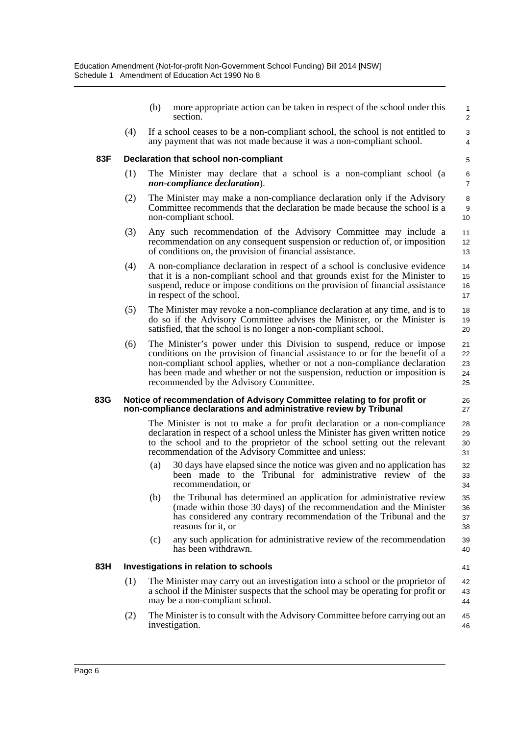(b) more appropriate action can be taken in respect of the school under this section.

41

(4) If a school ceases to be a non-compliant school, the school is not entitled to any payment that was not made because it was a non-compliant school.

#### **83F Declaration that school non-compliant**

- (1) The Minister may declare that a school is a non-compliant school (a *non-compliance declaration*).
- (2) The Minister may make a non-compliance declaration only if the Advisory Committee recommends that the declaration be made because the school is a non-compliant school.
- (3) Any such recommendation of the Advisory Committee may include a recommendation on any consequent suspension or reduction of, or imposition of conditions on, the provision of financial assistance.
- (4) A non-compliance declaration in respect of a school is conclusive evidence that it is a non-compliant school and that grounds exist for the Minister to suspend, reduce or impose conditions on the provision of financial assistance in respect of the school. 14 15 16 17
- (5) The Minister may revoke a non-compliance declaration at any time, and is to do so if the Advisory Committee advises the Minister, or the Minister is satisfied, that the school is no longer a non-compliant school. 18 19 20
- (6) The Minister's power under this Division to suspend, reduce or impose conditions on the provision of financial assistance to or for the benefit of a non-compliant school applies, whether or not a non-compliance declaration has been made and whether or not the suspension, reduction or imposition is recommended by the Advisory Committee.

#### **83G Notice of recommendation of Advisory Committee relating to for profit or non-compliance declarations and administrative review by Tribunal**

The Minister is not to make a for profit declaration or a non-compliance declaration in respect of a school unless the Minister has given written notice to the school and to the proprietor of the school setting out the relevant recommendation of the Advisory Committee and unless:

- (a) 30 days have elapsed since the notice was given and no application has been made to the Tribunal for administrative review of the recommendation, or
- (b) the Tribunal has determined an application for administrative review (made within those 30 days) of the recommendation and the Minister has considered any contrary recommendation of the Tribunal and the reasons for it, or
- (c) any such application for administrative review of the recommendation has been withdrawn.

#### **83H Investigations in relation to schools**

- (1) The Minister may carry out an investigation into a school or the proprietor of a school if the Minister suspects that the school may be operating for profit or may be a non-compliant school. 42 43 44
- (2) The Minister is to consult with the Advisory Committee before carrying out an investigation. 45 46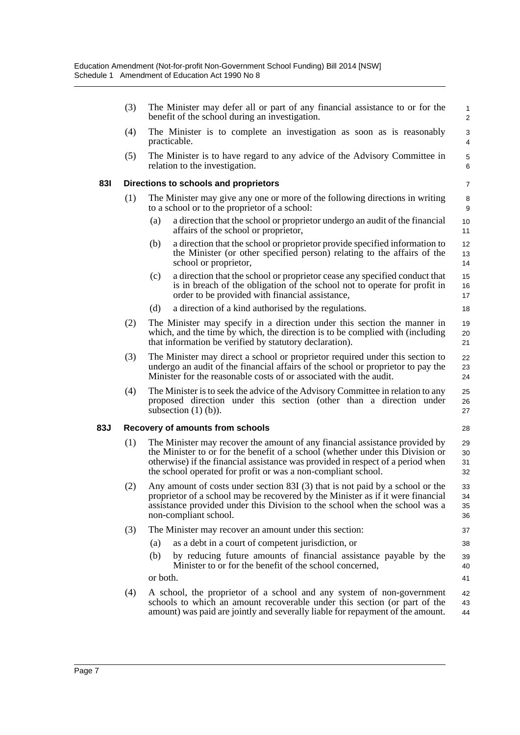|     | (3)                                           | The Minister may defer all or part of any financial assistance to or for the<br>benefit of the school during an investigation.                                                                                                                                                                                    |  | $\mathbf{1}$<br>2    |  |
|-----|-----------------------------------------------|-------------------------------------------------------------------------------------------------------------------------------------------------------------------------------------------------------------------------------------------------------------------------------------------------------------------|--|----------------------|--|
|     | (4)                                           | The Minister is to complete an investigation as soon as is reasonably<br>practicable.                                                                                                                                                                                                                             |  | 3<br>4               |  |
|     | (5)                                           | The Minister is to have regard to any advice of the Advisory Committee in<br>relation to the investigation.                                                                                                                                                                                                       |  | $\mathbf 5$<br>6     |  |
| 831 |                                               | Directions to schools and proprietors                                                                                                                                                                                                                                                                             |  | 7                    |  |
|     | (1)                                           | The Minister may give any one or more of the following directions in writing<br>to a school or to the proprietor of a school:                                                                                                                                                                                     |  | 8<br>9               |  |
|     |                                               | (a)<br>a direction that the school or proprietor undergo an audit of the financial<br>affairs of the school or proprietor,                                                                                                                                                                                        |  | 10<br>11             |  |
|     |                                               | a direction that the school or proprietor provide specified information to<br>(b)<br>the Minister (or other specified person) relating to the affairs of the<br>school or proprietor,                                                                                                                             |  | 12<br>13<br>14       |  |
|     |                                               | (c)<br>a direction that the school or proprietor cease any specified conduct that<br>is in breach of the obligation of the school not to operate for profit in<br>order to be provided with financial assistance,                                                                                                 |  | 15<br>16<br>17       |  |
|     |                                               | a direction of a kind authorised by the regulations.<br>(d)                                                                                                                                                                                                                                                       |  | 18                   |  |
|     | (2)                                           | The Minister may specify in a direction under this section the manner in<br>which, and the time by which, the direction is to be complied with (including<br>that information be verified by statutory declaration).                                                                                              |  | 19<br>20<br>21       |  |
|     | (3)                                           | The Minister may direct a school or proprietor required under this section to<br>undergo an audit of the financial affairs of the school or proprietor to pay the<br>Minister for the reasonable costs of or associated with the audit.                                                                           |  | 22<br>23<br>24       |  |
|     | (4)                                           | The Minister is to seek the advice of the Advisory Committee in relation to any<br>proposed direction under this section (other than a direction under<br>subsection $(1)$ $(b)$ ).                                                                                                                               |  | 25<br>26<br>27       |  |
| 83J | <b>Recovery of amounts from schools</b><br>28 |                                                                                                                                                                                                                                                                                                                   |  |                      |  |
|     | (1)                                           | The Minister may recover the amount of any financial assistance provided by<br>the Minister to or for the benefit of a school (whether under this Division or<br>otherwise) if the financial assistance was provided in respect of a period when<br>the school operated for profit or was a non-compliant school. |  | 29<br>30<br>31<br>32 |  |
|     | (2)                                           | Any amount of costs under section 83I (3) that is not paid by a school or the<br>proprietor of a school may be recovered by the Minister as if it were financial<br>assistance provided under this Division to the school when the school was a<br>non-compliant school.                                          |  | 33<br>34<br>35<br>36 |  |
|     | (3)                                           | The Minister may recover an amount under this section:                                                                                                                                                                                                                                                            |  | 37                   |  |
|     |                                               | as a debt in a court of competent jurisdiction, or<br>(a)                                                                                                                                                                                                                                                         |  | 38                   |  |
|     |                                               | (b)<br>by reducing future amounts of financial assistance payable by the<br>Minister to or for the benefit of the school concerned,                                                                                                                                                                               |  | 39<br>40             |  |
|     |                                               | or both.                                                                                                                                                                                                                                                                                                          |  | 41                   |  |
|     | (4)                                           | A school, the proprietor of a school and any system of non-government<br>schools to which an amount recoverable under this section (or part of the                                                                                                                                                                |  | 42<br>43             |  |

amount) was paid are jointly and severally liable for repayment of the amount.

44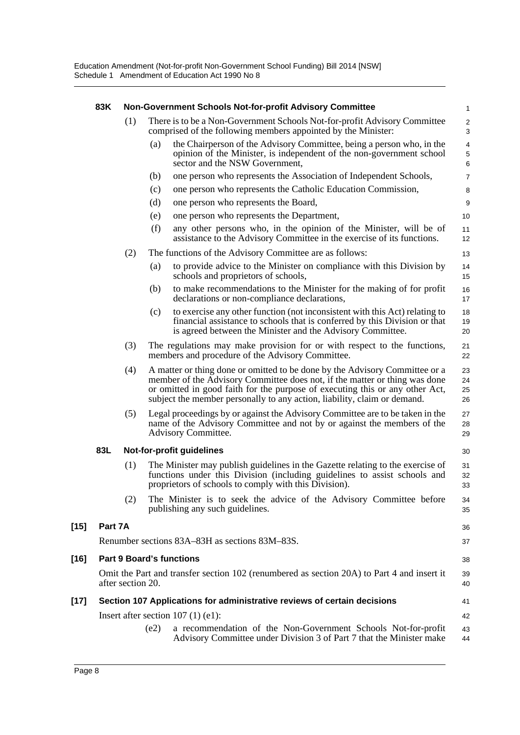|        | 83K                                                                                                             |     | Non-Government Schools Not-for-profit Advisory Committee                                                                                                                                                                                                                                                              | 1                            |
|--------|-----------------------------------------------------------------------------------------------------------------|-----|-----------------------------------------------------------------------------------------------------------------------------------------------------------------------------------------------------------------------------------------------------------------------------------------------------------------------|------------------------------|
|        |                                                                                                                 | (1) | There is to be a Non-Government Schools Not-for-profit Advisory Committee<br>comprised of the following members appointed by the Minister:                                                                                                                                                                            | $\overline{\mathbf{c}}$<br>3 |
|        |                                                                                                                 |     | the Chairperson of the Advisory Committee, being a person who, in the<br>(a)<br>opinion of the Minister, is independent of the non-government school<br>sector and the NSW Government,                                                                                                                                | 4<br>5<br>6                  |
|        |                                                                                                                 |     | one person who represents the Association of Independent Schools,<br>(b)                                                                                                                                                                                                                                              | 7                            |
|        |                                                                                                                 |     | (c)<br>one person who represents the Catholic Education Commission,                                                                                                                                                                                                                                                   | 8                            |
|        |                                                                                                                 |     | (d)<br>one person who represents the Board,                                                                                                                                                                                                                                                                           | 9                            |
|        |                                                                                                                 |     | one person who represents the Department,<br>(e)                                                                                                                                                                                                                                                                      | 10                           |
|        |                                                                                                                 |     | (f)<br>any other persons who, in the opinion of the Minister, will be of<br>assistance to the Advisory Committee in the exercise of its functions.                                                                                                                                                                    | 11<br>12                     |
|        |                                                                                                                 | (2) | The functions of the Advisory Committee are as follows:                                                                                                                                                                                                                                                               | 13                           |
|        |                                                                                                                 |     | to provide advice to the Minister on compliance with this Division by<br>(a)<br>schools and proprietors of schools,                                                                                                                                                                                                   | 14<br>15                     |
|        |                                                                                                                 |     | to make recommendations to the Minister for the making of for profit<br>(b)<br>declarations or non-compliance declarations,                                                                                                                                                                                           | 16<br>17                     |
|        |                                                                                                                 |     | to exercise any other function (not inconsistent with this Act) relating to<br>(c)<br>financial assistance to schools that is conferred by this Division or that<br>is agreed between the Minister and the Advisory Committee.                                                                                        | 18<br>19<br>20               |
|        |                                                                                                                 | (3) | The regulations may make provision for or with respect to the functions,<br>members and procedure of the Advisory Committee.                                                                                                                                                                                          | 21<br>22                     |
|        |                                                                                                                 | (4) | A matter or thing done or omitted to be done by the Advisory Committee or a<br>member of the Advisory Committee does not, if the matter or thing was done<br>or omitted in good faith for the purpose of executing this or any other Act,<br>subject the member personally to any action, liability, claim or demand. | 23<br>24<br>25<br>26         |
|        |                                                                                                                 | (5) | Legal proceedings by or against the Advisory Committee are to be taken in the<br>name of the Advisory Committee and not by or against the members of the<br>Advisory Committee.                                                                                                                                       | 27<br>28<br>29               |
|        | 83L                                                                                                             |     | Not-for-profit guidelines                                                                                                                                                                                                                                                                                             | 30                           |
|        |                                                                                                                 | (1) | The Minister may publish guidelines in the Gazette relating to the exercise of<br>functions under this Division (including guidelines to assist schools and<br>proprietors of schools to comply with this Division).                                                                                                  | 31<br>32<br>33               |
|        |                                                                                                                 | (2) | The Minister is to seek the advice of the Advisory Committee before<br>publishing any such guidelines.                                                                                                                                                                                                                | 34<br>35                     |
| $[15]$ | Part 7A                                                                                                         |     |                                                                                                                                                                                                                                                                                                                       | 36                           |
|        |                                                                                                                 |     | Renumber sections 83A–83H as sections 83M–83S.                                                                                                                                                                                                                                                                        | 37                           |
| $[16]$ |                                                                                                                 |     | <b>Part 9 Board's functions</b>                                                                                                                                                                                                                                                                                       | 38                           |
|        | Omit the Part and transfer section 102 (renumbered as section 20A) to Part 4 and insert it<br>after section 20. |     |                                                                                                                                                                                                                                                                                                                       |                              |
|        |                                                                                                                 |     | Section 107 Applications for administrative reviews of certain decisions                                                                                                                                                                                                                                              | 40                           |
| $[17]$ |                                                                                                                 |     |                                                                                                                                                                                                                                                                                                                       | 41                           |
|        |                                                                                                                 |     | Insert after section $107(1)$ (e1):                                                                                                                                                                                                                                                                                   | 42                           |
|        |                                                                                                                 |     | a recommendation of the Non-Government Schools Not-for-profit<br>(e2)                                                                                                                                                                                                                                                 | 43                           |

Advisory Committee under Division 3 of Part 7 that the Minister make

44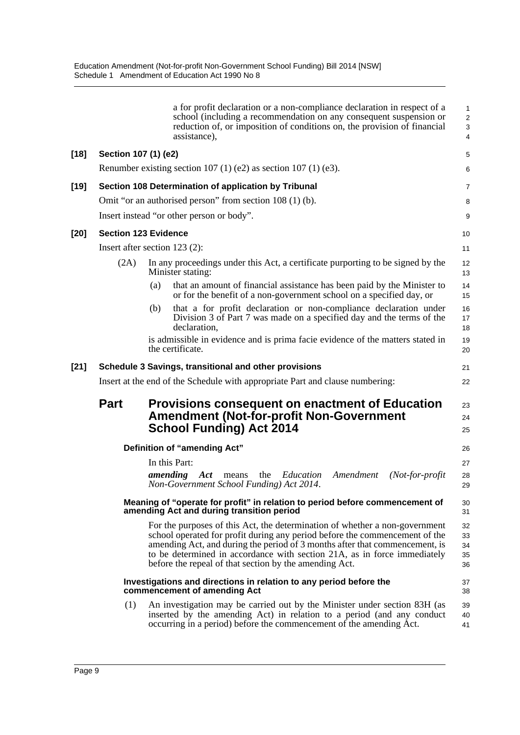|        |                      | a for profit declaration or a non-compliance declaration in respect of a<br>school (including a recommendation on any consequent suspension or<br>reduction of, or imposition of conditions on, the provision of financial<br>assistance),                                                                                                                                      | 1<br>$\overline{\mathbf{c}}$<br>3<br>4 |
|--------|----------------------|---------------------------------------------------------------------------------------------------------------------------------------------------------------------------------------------------------------------------------------------------------------------------------------------------------------------------------------------------------------------------------|----------------------------------------|
| $[18]$ | Section 107 (1) (e2) |                                                                                                                                                                                                                                                                                                                                                                                 | 5                                      |
|        |                      | Renumber existing section 107 (1) (e2) as section 107 (1) (e3).                                                                                                                                                                                                                                                                                                                 | 6                                      |
| $[19]$ |                      | Section 108 Determination of application by Tribunal                                                                                                                                                                                                                                                                                                                            | 7                                      |
|        |                      | Omit "or an authorised person" from section 108 (1) (b).                                                                                                                                                                                                                                                                                                                        | 8                                      |
|        |                      | Insert instead "or other person or body".                                                                                                                                                                                                                                                                                                                                       | 9                                      |
| $[20]$ |                      | <b>Section 123 Evidence</b>                                                                                                                                                                                                                                                                                                                                                     | 10                                     |
|        |                      | Insert after section $123$ (2):                                                                                                                                                                                                                                                                                                                                                 | 11                                     |
|        | (2A)                 | In any proceedings under this Act, a certificate purporting to be signed by the<br>Minister stating:                                                                                                                                                                                                                                                                            | 12<br>13                               |
|        |                      | that an amount of financial assistance has been paid by the Minister to<br>(a)<br>or for the benefit of a non-government school on a specified day, or                                                                                                                                                                                                                          | 14<br>15                               |
|        |                      | that a for profit declaration or non-compliance declaration under<br>(b)<br>Division 3 of Part 7 was made on a specified day and the terms of the<br>declaration,                                                                                                                                                                                                               | 16<br>17<br>18                         |
|        |                      | is admissible in evidence and is prima facie evidence of the matters stated in<br>the certificate.                                                                                                                                                                                                                                                                              | 19<br>20                               |
| $[21]$ |                      | Schedule 3 Savings, transitional and other provisions                                                                                                                                                                                                                                                                                                                           | 21                                     |
|        |                      | Insert at the end of the Schedule with appropriate Part and clause numbering:                                                                                                                                                                                                                                                                                                   | 22                                     |
|        | <b>Part</b>          | <b>Provisions consequent on enactment of Education</b><br><b>Amendment (Not-for-profit Non-Government</b><br><b>School Funding) Act 2014</b>                                                                                                                                                                                                                                    | 23<br>24<br>25                         |
|        |                      | Definition of "amending Act"                                                                                                                                                                                                                                                                                                                                                    | 26                                     |
|        |                      | In this Part:<br>amending<br>Education<br>Amendment<br>$(Not-for-profit)$<br>Act<br>means<br>the<br>Non-Government School Funding) Act 2014.                                                                                                                                                                                                                                    | 27<br>28<br>29                         |
|        |                      | Meaning of "operate for profit" in relation to period before commencement of<br>amending Act and during transition period                                                                                                                                                                                                                                                       | 30<br>31                               |
|        |                      | For the purposes of this Act, the determination of whether a non-government<br>school operated for profit during any period before the commencement of the<br>amending Act, and during the period of 3 months after that commencement, is<br>to be determined in accordance with section 21A, as in force immediately<br>before the repeal of that section by the amending Act. | 32<br>33<br>34<br>35<br>36             |
|        |                      | Investigations and directions in relation to any period before the<br>commencement of amending Act                                                                                                                                                                                                                                                                              | 37<br>38                               |
|        | (1)                  | An investigation may be carried out by the Minister under section 83H (as<br>inserted by the amending Act) in relation to a period (and any conduct<br>occurring in a period) before the commencement of the amending Act.                                                                                                                                                      | 39<br>40<br>41                         |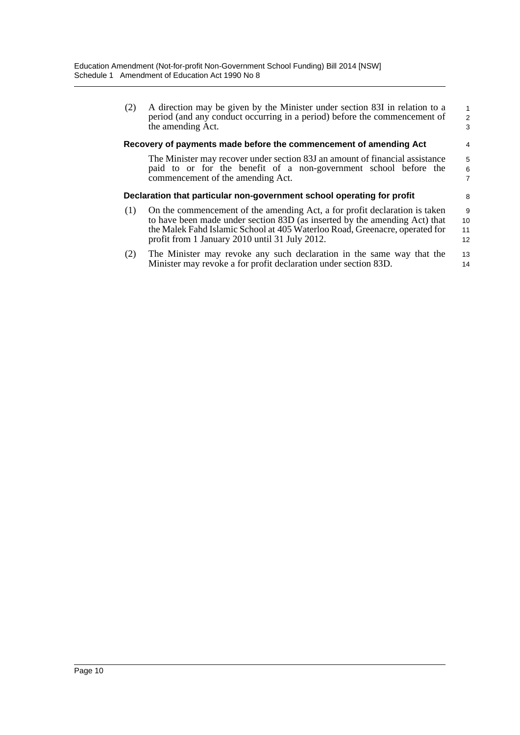| (2) | A direction may be given by the Minister under section 83I in relation to a<br>period (and any conduct occurring in a period) before the commencement of<br>the amending Act. | $\mathbf{1}$<br>2<br>3 |
|-----|-------------------------------------------------------------------------------------------------------------------------------------------------------------------------------|------------------------|
|     | Recovery of payments made before the commencement of amending Act                                                                                                             | 4                      |
|     | The Minister may recover under section 83J an amount of financial assistance                                                                                                  | 5                      |
|     | paid to or for the benefit of a non-government school before the                                                                                                              | 6                      |
|     | commencement of the amending Act.                                                                                                                                             | $\overline{7}$         |
|     | Declaration that particular non-government school operating for profit                                                                                                        | 8                      |
| (1) | On the commencement of the amending Act, a for profit declaration is taken                                                                                                    | 9                      |
|     | to have been made under section 83D (as inserted by the amending Act) that                                                                                                    | 10                     |
|     | the Malek Fahd Islamic School at 405 Waterloo Road, Greenacre, operated for                                                                                                   | 11                     |
|     | profit from 1 January 2010 until 31 July 2012.                                                                                                                                | 12                     |
| (2) | The Minister may revoke any such declaration in the same way that the                                                                                                         | 13                     |
|     | Minister may revoke a for profit declaration under section 83D.                                                                                                               | 14                     |